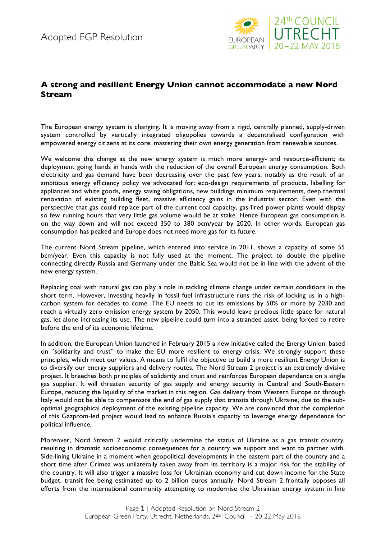

## **A strong and resilient Energy Union cannot accommodate a new Nord Stream**

The European energy system is changing. It is moving away from a rigid, centrally planned, supply-driven system controlled by vertically integrated oligopolies towards a decentralised configuration with empowered energy citizens at its core, mastering their own energy generation from renewable sources.

We welcome this change as the new energy system is much more energy- and resource-efficient; its deployment going hands in hands with the reduction of the overall European energy consumption. Both electricity and gas demand have been decreasing over the past few years, notably as the result of an ambitious energy efficiency policy we advocated for: eco-design requirements of products, labelling for appliances and white goods, energy saving obligations, new buildings minimum requirements, deep thermal renovation of existing building fleet, massive efficiency gains in the industrial sector. Even with the perspective that gas could replace part of the current coal capacity, gas-fired power plants would display so few running hours that very little gas volume would be at stake. Hence European gas consumption is on the way down and will not exceed 350 to 380 bcm/year by 2020. In other words, European gas consumption has peaked and Europe does not need more gas for its future.

The current Nord Stream pipeline, which entered into service in 2011, shows a capacity of some 55 bcm/year. Even this capacity is not fully used at the moment. The project to double the pipeline connecting directly Russia and Germany under the Baltic Sea would not be in line with the advent of the new energy system.

Replacing coal with natural gas can play a role in tackling climate change under certain conditions in the short term. However, investing heavily in fossil fuel infrastructure runs the risk of locking us in a highcarbon system for decades to come. The EU needs to cut its emissions by 50% or more by 2030 and reach a virtually zero emission energy system by 2050. This would leave precious little space for natural gas, let alone increasing its use. The new pipeline could turn into a stranded asset, being forced to retire before the end of its economic lifetime.

In addition, the European Union launched in February 2015 a new initiative called the Energy Union, based on "solidarity and trust" to make the EU more resilient to energy crisis. We strongly support these principles, which meet our values. A means to fulfil the objective to build a more resilient Energy Union is to diversify our energy suppliers and delivery routes. The Nord Stream 2 project is an extremely divisive project. It breeches both principles of solidarity and trust and reinforces European dependence on a single gas supplier. It will threaten security of gas supply and energy security in Central and South-Eastern Europe, reducing the liquidity of the market in this region. Gas delivery from Western Europe or through Italy would not be able to compensate the end of gas supply that transits through Ukraine, due to the suboptimal geographical deployment of the existing pipeline capacity. We are convinced that the completion of this Gazprom-led project would lead to enhance Russia's capacity to leverage energy dependence for political influence.

Moreover, Nord Stream 2 would critically undermine the status of Ukraine as a gas transit country, resulting in dramatic socioeconomic consequences for a country we support and want to partner with. Side-lining Ukraine in a moment when geopolitical developments in the eastern part of the country and a short time after Crimea was unilaterally taken away from its territory is a major risk for the stability of the country. It will also trigger a massive loss for Ukrainian economy and cut down income for the State budget, transit fee being estimated up to 2 billion euros annually. Nord Stream 2 frontally opposes all efforts from the international community attempting to modernise the Ukrainian energy system in line